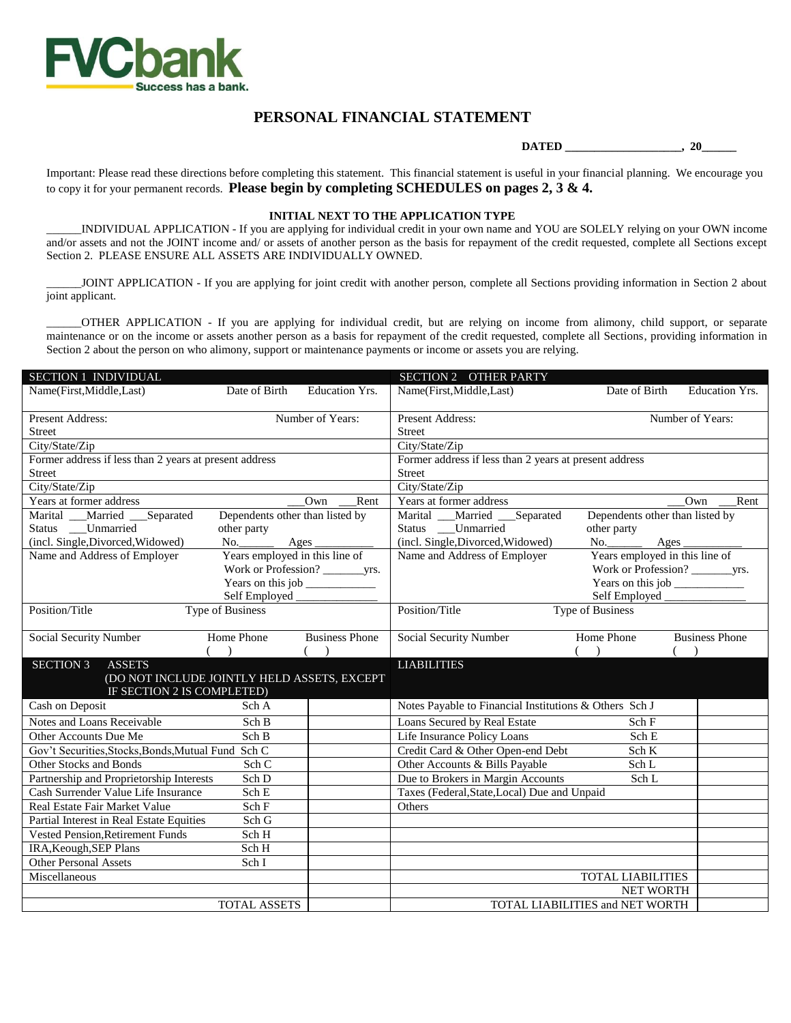

## **PERSONAL FINANCIAL STATEMENT**

 **DATED \_\_\_\_\_\_\_\_\_\_\_\_\_\_\_\_\_\_\_\_, 20\_\_\_\_\_\_**

Important: Please read these directions before completing this statement. This financial statement is useful in your financial planning. We encourage you to copy it for your permanent records. **Please begin by completing SCHEDULES on pages 2, 3 & 4.**

## **INITIAL NEXT TO THE APPLICATION TYPE**

\_\_\_\_\_\_INDIVIDUAL APPLICATION - If you are applying for individual credit in your own name and YOU are SOLELY relying on your OWN income and/or assets and not the JOINT income and/ or assets of another person as the basis for repayment of the credit requested, complete all Sections except Section 2. PLEASE ENSURE ALL ASSETS ARE INDIVIDUALLY OWNED.

\_\_\_\_\_\_JOINT APPLICATION - If you are applying for joint credit with another person, complete all Sections providing information in Section 2 about joint applicant.

\_\_\_\_\_\_OTHER APPLICATION - If you are applying for individual credit, but are relying on income from alimony, child support, or separate maintenance or on the income or assets another person as a basis for repayment of the credit requested, complete all Sections, providing information in Section 2 about the person on who alimony, support or maintenance payments or income or assets you are relying.

| <b>SECTION 1 INDIVIDUAL</b>                                     |                                             |                                 | SECTION 2 OTHER PARTY                                  |                                 |                       |
|-----------------------------------------------------------------|---------------------------------------------|---------------------------------|--------------------------------------------------------|---------------------------------|-----------------------|
| Name(First, Middle, Last)                                       | Date of Birth                               | Education Yrs.                  | Name(First, Middle, Last)                              | Date of Birth                   | Education Yrs.        |
| <b>Present Address:</b>                                         |                                             | Number of Years:                | Present Address:                                       | Number of Years:                |                       |
| <b>Street</b>                                                   |                                             |                                 | <b>Street</b>                                          |                                 |                       |
| City/State/Zip                                                  |                                             |                                 | City/State/Zip                                         |                                 |                       |
| Former address if less than 2 years at present address          |                                             |                                 | Former address if less than 2 years at present address |                                 |                       |
| <b>Street</b>                                                   |                                             |                                 | <b>Street</b>                                          |                                 |                       |
| City/State/Zip                                                  |                                             |                                 | City/State/Zip                                         |                                 |                       |
| Years at former address                                         |                                             | Own<br>Rent                     | Years at former address                                |                                 | Own<br>Rent           |
| Marital __Married __Separated                                   |                                             | Dependents other than listed by | Marital __Married __Separated                          | Dependents other than listed by |                       |
| Status Unmarried                                                | other party                                 |                                 | Status Unmarried                                       | other party                     |                       |
| (incl. Single, Divorced, Widowed)                               | $No.$ Ages                                  |                                 | (incl. Single, Divorced, Widowed)                      | No. Ages                        |                       |
| Name and Address of Employer                                    |                                             | Years employed in this line of  | Name and Address of Employer                           | Years employed in this line of  |                       |
|                                                                 |                                             |                                 |                                                        |                                 |                       |
|                                                                 |                                             |                                 |                                                        |                                 |                       |
|                                                                 | Self Employed                               |                                 |                                                        |                                 |                       |
| Position/Title                                                  | <b>Type of Business</b>                     |                                 | Position/Title                                         | <b>Type of Business</b>         |                       |
| Social Security Number                                          | Home Phone                                  | <b>Business Phone</b>           | Social Security Number                                 | Home Phone                      | <b>Business Phone</b> |
|                                                                 | $($ )                                       | (                               |                                                        | $($ )                           |                       |
| <b>SECTION 3</b><br><b>ASSETS</b><br>IF SECTION 2 IS COMPLETED) | (DO NOT INCLUDE JOINTLY HELD ASSETS, EXCEPT |                                 | <b>LIABILITIES</b>                                     |                                 |                       |
| Cash on Deposit                                                 | Sch A                                       |                                 | Notes Payable to Financial Institutions & Others Sch J |                                 |                       |
| Notes and Loans Receivable                                      | Sch B                                       |                                 | Loans Secured by Real Estate                           | Sch F                           |                       |
| Other Accounts Due Me                                           | Sch B                                       |                                 | Life Insurance Policy Loans                            | Sch E                           |                       |
| Gov't Securities, Stocks, Bonds, Mutual Fund Sch C              |                                             |                                 | Credit Card & Other Open-end Debt                      | Sch K                           |                       |
| Other Stocks and Bonds                                          | Sch C                                       |                                 | Other Accounts & Bills Payable                         | Sch L                           |                       |
| Partnership and Proprietorship Interests                        | Sch D                                       |                                 | Due to Brokers in Margin Accounts                      | Sch L                           |                       |
| Cash Surrender Value Life Insurance                             | Sch E                                       |                                 | Taxes (Federal, State, Local) Due and Unpaid           |                                 |                       |
| Real Estate Fair Market Value                                   | Sch F                                       |                                 | Others                                                 |                                 |                       |
| Partial Interest in Real Estate Equities                        | Sch G                                       |                                 |                                                        |                                 |                       |
| Vested Pension, Retirement Funds                                | Sch H                                       |                                 |                                                        |                                 |                       |
| IRA, Keough, SEP Plans                                          | Sch H                                       |                                 |                                                        |                                 |                       |
| <b>Other Personal Assets</b>                                    | Sch <sub>I</sub>                            |                                 |                                                        |                                 |                       |
| Miscellaneous                                                   |                                             |                                 |                                                        | <b>TOTAL LIABILITIES</b>        |                       |
|                                                                 |                                             |                                 |                                                        | <b>NET WORTH</b>                |                       |
|                                                                 | <b>TOTAL ASSETS</b>                         |                                 |                                                        | TOTAL LIABILITIES and NET WORTH |                       |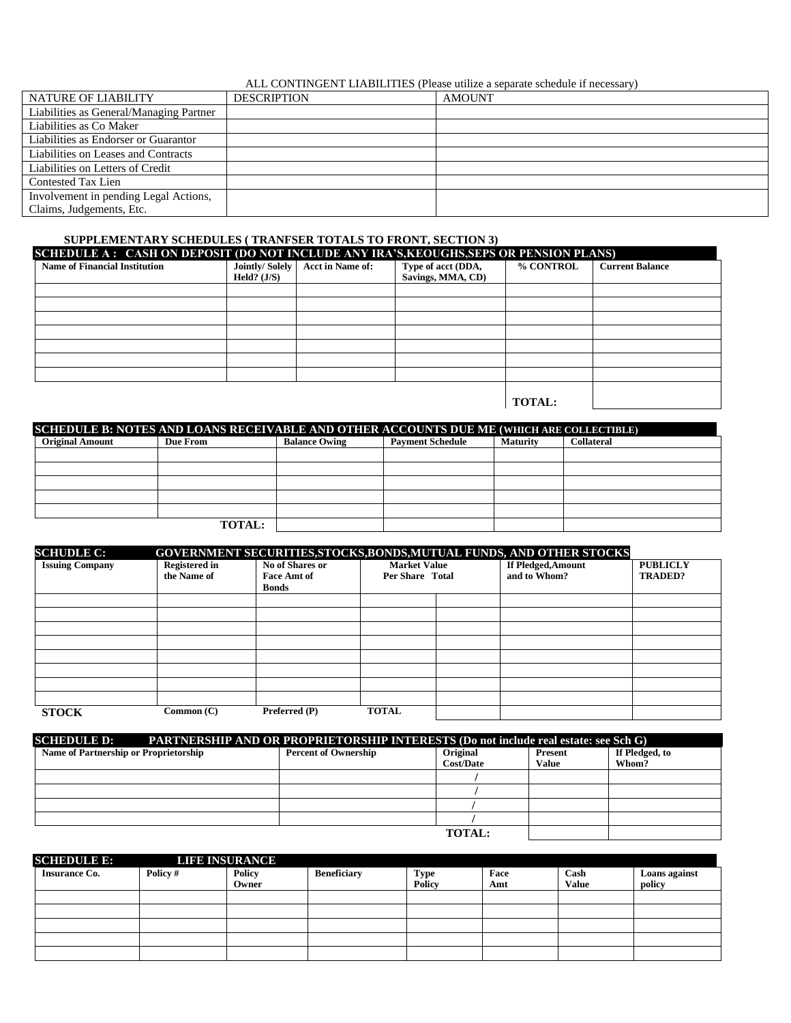## ALL CONTINGENT LIABILITIES (Please utilize a separate schedule if necessary)

| NATURE OF LIABILITY                     | <b>DESCRIPTION</b> | <b>AMOUNT</b> |
|-----------------------------------------|--------------------|---------------|
| Liabilities as General/Managing Partner |                    |               |
| Liabilities as Co Maker                 |                    |               |
| Liabilities as Endorser or Guarantor    |                    |               |
| Liabilities on Leases and Contracts     |                    |               |
| Liabilities on Letters of Credit        |                    |               |
| <b>Contested Tax Lien</b>               |                    |               |
| Involvement in pending Legal Actions,   |                    |               |
| Claims, Judgements, Etc.                |                    |               |

## **SUPPLEMENTARY SCHEDULES ( TRANFSER TOTALS TO FRONT, SECTION 3)**

| SCHEDULE A: CASH ON DEPOSIT (DO NOT INCLUDE ANY IRA'S, KEOUGHS, SEPS OR PENSION PLANS) |                |                         |                    |               |                        |  |  |  |
|----------------------------------------------------------------------------------------|----------------|-------------------------|--------------------|---------------|------------------------|--|--|--|
| <b>Name of Financial Institution</b>                                                   | Jointly/Solely | <b>Acct in Name of:</b> | Type of acct (DDA, | % CONTROL     | <b>Current Balance</b> |  |  |  |
|                                                                                        | Held? $(J/S)$  |                         | Savings, MMA, CD)  |               |                        |  |  |  |
|                                                                                        |                |                         |                    |               |                        |  |  |  |
|                                                                                        |                |                         |                    |               |                        |  |  |  |
|                                                                                        |                |                         |                    |               |                        |  |  |  |
|                                                                                        |                |                         |                    |               |                        |  |  |  |
|                                                                                        |                |                         |                    |               |                        |  |  |  |
|                                                                                        |                |                         |                    |               |                        |  |  |  |
|                                                                                        |                |                         |                    |               |                        |  |  |  |
|                                                                                        |                |                         |                    |               |                        |  |  |  |
|                                                                                        |                |                         |                    | <b>TOTAL:</b> |                        |  |  |  |

| SCHEDULE B: NOTES AND LOANS RECEIVABLE AND OTHER ACCOUNTS DUE ME (WHICH ARE COLLECTIBLE) |               |                      |                         |                 |                   |  |  |  |  |
|------------------------------------------------------------------------------------------|---------------|----------------------|-------------------------|-----------------|-------------------|--|--|--|--|
| <b>Original Amount</b>                                                                   | Due From      | <b>Balance Owing</b> | <b>Payment Schedule</b> | <b>Maturity</b> | <b>Collateral</b> |  |  |  |  |
|                                                                                          |               |                      |                         |                 |                   |  |  |  |  |
|                                                                                          |               |                      |                         |                 |                   |  |  |  |  |
|                                                                                          |               |                      |                         |                 |                   |  |  |  |  |
|                                                                                          |               |                      |                         |                 |                   |  |  |  |  |
|                                                                                          |               |                      |                         |                 |                   |  |  |  |  |
|                                                                                          | <b>TOTAL:</b> |                      |                         |                 |                   |  |  |  |  |

| <b>SCHUDLE C:</b>      |                      |                    |                     | <b>GOVERNMENT SECURITIES, STOCKS, BONDS, MUTUAL FUNDS, AND OTHER STOCKS</b> |                 |
|------------------------|----------------------|--------------------|---------------------|-----------------------------------------------------------------------------|-----------------|
| <b>Issuing Company</b> | <b>Registered in</b> | No of Shares or    | <b>Market Value</b> | If Pledged, Amount                                                          | <b>PUBLICLY</b> |
|                        | the Name of          | <b>Face Amt of</b> | Per Share Total     | and to Whom?                                                                | <b>TRADED?</b>  |
|                        |                      | <b>Bonds</b>       |                     |                                                                             |                 |
|                        |                      |                    |                     |                                                                             |                 |
|                        |                      |                    |                     |                                                                             |                 |
|                        |                      |                    |                     |                                                                             |                 |
|                        |                      |                    |                     |                                                                             |                 |
|                        |                      |                    |                     |                                                                             |                 |
|                        |                      |                    |                     |                                                                             |                 |
|                        |                      |                    |                     |                                                                             |                 |
|                        |                      |                    |                     |                                                                             |                 |
| <b>STOCK</b>           | Common (C)           | Preferred (P)      | <b>TOTAL</b>        |                                                                             |                 |

| <b>SCHEDULE D:</b><br><b>PARTNERSHIP AND OR PROPRIETORSHIP INTERESTS (Do not include real estate: see Sch G)</b> |                             |                              |                                |                         |  |  |  |
|------------------------------------------------------------------------------------------------------------------|-----------------------------|------------------------------|--------------------------------|-------------------------|--|--|--|
| Name of Partnership or Proprietorship                                                                            | <b>Percent of Ownership</b> | Original<br><b>Cost/Date</b> | <b>Present</b><br><b>Value</b> | If Pledged, to<br>Whom? |  |  |  |
|                                                                                                                  |                             |                              |                                |                         |  |  |  |
|                                                                                                                  |                             |                              |                                |                         |  |  |  |
|                                                                                                                  |                             |                              |                                |                         |  |  |  |
|                                                                                                                  |                             |                              |                                |                         |  |  |  |
|                                                                                                                  |                             | <b>TOTAL:</b>                |                                |                         |  |  |  |

| <b>SCHEDULE E:</b>   |          | <b>LIFE INSURANCE</b> |                    |             |      |       |               |
|----------------------|----------|-----------------------|--------------------|-------------|------|-------|---------------|
| <b>Insurance Co.</b> | Policy # | <b>Policy</b>         | <b>Beneficiary</b> | <b>Type</b> | Face | Cash  | Loans against |
|                      |          | Owner                 |                    | Policy      | Amt  | Value | policy        |
|                      |          |                       |                    |             |      |       |               |
|                      |          |                       |                    |             |      |       |               |
|                      |          |                       |                    |             |      |       |               |
|                      |          |                       |                    |             |      |       |               |
|                      |          |                       |                    |             |      |       |               |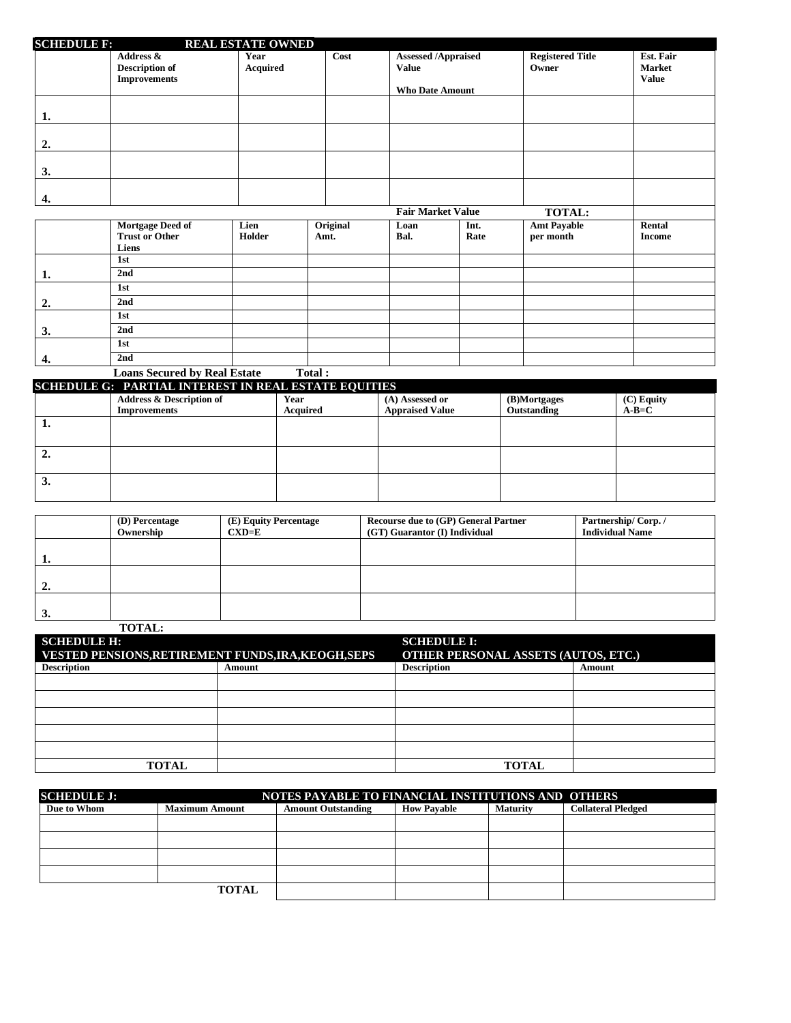| <b>SCHEDULE F:</b> |                                                           | <b>REAL ESTATE OWNED</b> |                  |                                                                      |              |                                                  |                                            |
|--------------------|-----------------------------------------------------------|--------------------------|------------------|----------------------------------------------------------------------|--------------|--------------------------------------------------|--------------------------------------------|
|                    | Address &<br><b>Description of</b><br><b>Improvements</b> | Year<br>Acquired         | Cost             | <b>Assessed /Appraised</b><br><b>Value</b><br><b>Who Date Amount</b> |              | <b>Registered Title</b><br>Owner                 | Est. Fair<br><b>Market</b><br><b>Value</b> |
| 1.                 |                                                           |                          |                  |                                                                      |              |                                                  |                                            |
| $\overline{2}$ .   |                                                           |                          |                  |                                                                      |              |                                                  |                                            |
| 3.                 |                                                           |                          |                  |                                                                      |              |                                                  |                                            |
| 4.                 |                                                           |                          |                  |                                                                      |              |                                                  |                                            |
|                    | Mortgage Deed of<br><b>Trust or Other</b>                 | Lien<br>Holder           | Original<br>Amt. | <b>Fair Market Value</b><br>Loan<br>Bal.                             | Int.<br>Rate | <b>TOTAL:</b><br><b>Amt Payable</b><br>per month | Rental<br><b>Income</b>                    |
|                    | Liens<br>1st                                              |                          |                  |                                                                      |              |                                                  |                                            |
| 1.                 | 2nd                                                       |                          |                  |                                                                      |              |                                                  |                                            |
| 2.                 | 1st<br>2nd                                                |                          |                  |                                                                      |              |                                                  |                                            |
| 3.                 | 1st<br>2nd                                                |                          |                  |                                                                      |              |                                                  |                                            |
|                    | 1st                                                       |                          |                  |                                                                      |              |                                                  |                                            |

|                                                             | <b>Loans Secured by Real Estate</b> | Total:   |                        |              |              |  |  |  |  |
|-------------------------------------------------------------|-------------------------------------|----------|------------------------|--------------|--------------|--|--|--|--|
| <b>SCHEDULE G: PARTIAL INTEREST IN REAL ESTATE EQUITIES</b> |                                     |          |                        |              |              |  |  |  |  |
|                                                             | <b>Address &amp; Description of</b> | Year     | (A) Assessed or        | (B)Mortgages | $(C)$ Equity |  |  |  |  |
|                                                             | <b>Improvements</b>                 | Acquired | <b>Appraised Value</b> | Outstanding  | $A-B=C$      |  |  |  |  |
| ı.                                                          |                                     |          |                        |              |              |  |  |  |  |
|                                                             |                                     |          |                        |              |              |  |  |  |  |
| ٠.                                                          |                                     |          |                        |              |              |  |  |  |  |
|                                                             |                                     |          |                        |              |              |  |  |  |  |
| s.                                                          |                                     |          |                        |              |              |  |  |  |  |

**4. 2nd**

|    | (D) Percentage<br>Ownership | (E) Equity Percentage<br>$\mathbf{C}\mathbf{X}\mathbf{D}=\mathbf{E}$ | <b>Recourse due to (GP) General Partner</b><br>(GT) Guarantor (I) Individual | Partnership/Corp./<br><b>Individual Name</b> |
|----|-----------------------------|----------------------------------------------------------------------|------------------------------------------------------------------------------|----------------------------------------------|
|    |                             |                                                                      |                                                                              |                                              |
| 1. |                             |                                                                      |                                                                              |                                              |
| 2. |                             |                                                                      |                                                                              |                                              |
| 3. |                             |                                                                      |                                                                              |                                              |
|    | <b>TOTAL:</b>               |                                                                      |                                                                              |                                              |

| <b>SCHEDULE H:</b><br><b>VESTED PENSIONS, RETIREMENT FUNDS, IRA, KEOGH, SEPS</b> |        | <b>SCHEDULE I:</b><br>OTHER PERSONAL ASSETS (AUTOS, ETC.) |        |  |
|----------------------------------------------------------------------------------|--------|-----------------------------------------------------------|--------|--|
| <b>Description</b>                                                               | Amount | <b>Description</b>                                        | Amount |  |
|                                                                                  |        |                                                           |        |  |
|                                                                                  |        |                                                           |        |  |
|                                                                                  |        |                                                           |        |  |
|                                                                                  |        |                                                           |        |  |
|                                                                                  |        |                                                           |        |  |
| <b>TOTAL</b>                                                                     |        | <b>TOTAL</b>                                              |        |  |

| <b>SCHEDULE J:</b> | NOTES PAYABLE TO FINANCIAL INSTITUTIONS AND OTHERS |                           |                    |                 |                           |  |  |  |
|--------------------|----------------------------------------------------|---------------------------|--------------------|-----------------|---------------------------|--|--|--|
| Due to Whom        | <b>Maximum Amount</b>                              | <b>Amount Outstanding</b> | <b>How Pavable</b> | <b>Maturity</b> | <b>Collateral Pledged</b> |  |  |  |
|                    |                                                    |                           |                    |                 |                           |  |  |  |
|                    |                                                    |                           |                    |                 |                           |  |  |  |
|                    |                                                    |                           |                    |                 |                           |  |  |  |
|                    |                                                    |                           |                    |                 |                           |  |  |  |
|                    | <b>TOTAL</b>                                       |                           |                    |                 |                           |  |  |  |